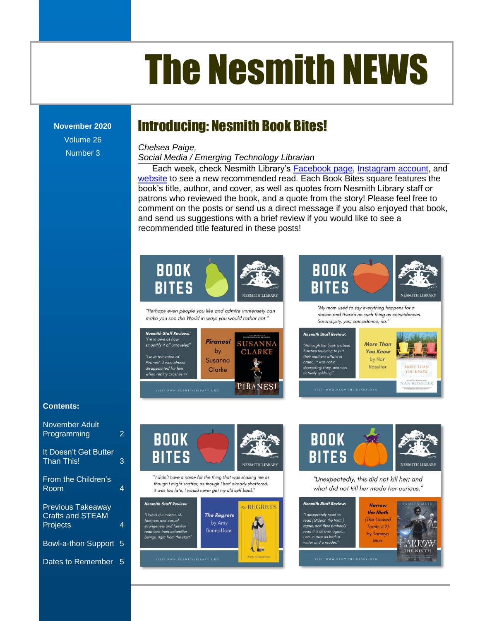# The Nesmith NEWS

#### **November 2020**

Volume 26 Number 3

### Introducing: Nesmith Book Bites!

#### *Chelsea Paige,*

**Social Media / Emerging Technology Librarian** 

Each week, check Nesmith Library's <u>Facebook page, Instagram account</u>, and <u>[website](https://nesmithlibrary.org/image-gallery/nesmith-book-bites)</u> to see a new recommended read. Each Book Bites square features the book's title, author, and cover, as well as quotes from Nesmith Library staff or patrons who reviewed the book, and a quote from the story! Please feel free to comment on the posts or send us a direct message if you also enjoyed that book, The Reference Corner Corner Corner Corner Corner Corner Corner Corner Corner Corner Corner Corner Corner Corner Corner Corner Corner Corner Corner Corner Corner Corner Corner Corner Corner Corner Corner Corner Corner Corne and send us suggestions with a brief review if you would like to see a recommended title featured in these posts!<br>



[Supreme Court Cases.........................................................................................................................](file:///C:/Users/Joyce/Documents/Nesmith/2013/Feb%202013/NN02_13.doc%23_Toc347430579) **Error! Bookmark not defined.**







#### **Contents:**

| November Adult<br>Programming                                          | 2 |
|------------------------------------------------------------------------|---|
| It Doesn't Get Butter<br><b>Than This!</b>                             | 3 |
| From the Children's<br>Room                                            | 4 |
| <b>Previous Takeaway</b><br><b>Crafts and STEAM</b><br><b>Projects</b> | 4 |
| <b>Bowl-a-thon Support</b>                                             | 5 |
| Dates to Remember                                                      | 5 |



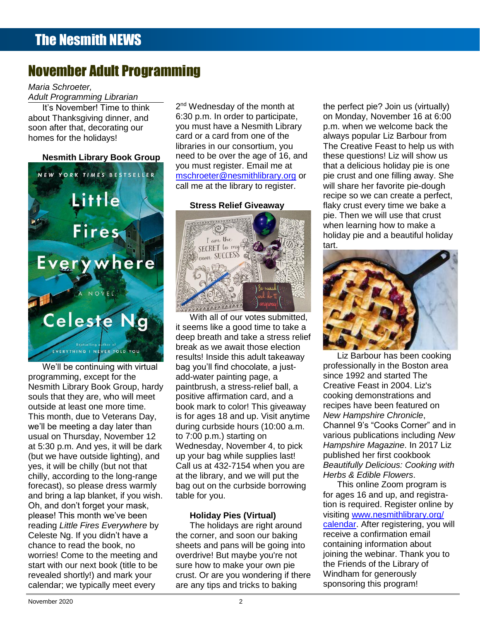### November Adult Programming

### *Maria Schroeter,*

*Adult Programming Librarian*

**It's November! Time to think** about Thanksgiving dinner, and soon after that, decorating our homes for the holidays!



We'll be continuing with virtual programming, except for the Nesmith Library Book Group, hardy souls that they are, who will meet outside at least one more time. This month, due to Veterans Day, we'll be meeting a day later than usual on Thursday, November 12 at 5:30 p.m. And yes, it will be dark (but we have outside lighting), and yes, it will be chilly (but not that chilly, according to the long-range forecast), so please dress warmly and bring a lap blanket, if you wish. Oh, and don't forget your mask, please! This month we've been reading *Little Fires Everywhere* by Celeste Ng. If you didn't have a chance to read the book, no worries! Come to the meeting and start with our next book (title to be revealed shortly!) and mark your calendar; we typically meet every s

2<sup>nd</sup> Wednesday of the month at 6:30 p.m. In order to participate, card or a card from one of the libraries in our consortium, you need to be over the age of 16, and you must register. Email me at

### **Stress Relief Giveaway**



With all of our votes submitted. it seems like a good time to take a Toddler Story Time [..............................................................................................................................](file:///C:/Users/Joyce/Documents/Nesmith/2013/Feb%202013/NN02_13.doc%23_Toc347430587)**Error! Bookmark not defined.** deep breath and take a stress relief New Non-Fiction Titles in the Children's Room [...................................................................................](file:///C:/Users/Joyce/Documents/Nesmith/2013/Feb%202013/NN02_13.doc%23_Toc347430588)**Error! Bookmark not defined. Expending durban of the contract of the contract of the contract of the contract of the contract of the contract of the contract of the contract of the contract of the contract of the contract of the contract of the contr** results! Inside this adult takeaway bag you'll find chocolate, a justadd-water painting page, a paintbrush, a stress-relief ball, a positive affirmation card, and a book mark to color! This giveaway is for ages 18 and up. Visit anytime during curbside hours (10:00 a.m. to 7:00 p.m.) starting on Wednesday, November 4, to pick up your bag while supplies last! Call us at 432-7154 when you are at the library, and we will put the bag out on the curbside borrowing table for you. **FROM THE CHILDREN'S ROOM: FEBRUARY 2006** 

### **Holiday Pies (Virtual)**

The holidays are right around the corner, and soon our baking sheets and pans will be going into overdrive! But maybe you're not sure how to make your own pie crust. Or are you wondering if there are any tips and tricks to baking

**Nesmith Library Book Group** need to be over the age of 16, and these questions! Liz will show us after that, decorating our exployment have a Nesmith Library h.m. when we welcome back the W YORK TIMES BESTSELLER [mschroeter@nesmithlibrary.org](mailto:mschroeter@nesmithlibrary.org) or pie crust and one filling away. She From the Children's Room: February 2002. The Children's Room: February 2003. The Children's Room: February 2003. The Children of Bookmark of Bookmark not defined at the library to register. Will share her favorite pie-doug the perfect pie? Join us (virtually) ut Thanksgiving dinner, and 6:30 p.m. In order to participate, on Monday, November 16 at 6:00 p.m. when we welcome back the ally that, decertainly cance the card or a card from one of the always popular Liz Barbour from S for the Holidays!<br>libraries in our consortium, you The Creative Feast to help us with these questions! Liz will show us That a delicious holiday pie is one was well as well as a vou must register. Email me at that a delicious holiday pie is one pie crust and one filling away. She will share her favorite pie-dough an the at the library to register. Will share her lavoille ple-dodgin<br>recipe so we can create a perfect, **Example 1 Property Contracts Stress Relief Giveaway** flaky crust every time we bake a pie. Then we will use that crust when learning how to make a holiday pie and a beautiful holiday tart. ibranes in our consortium, you he had the Creative Feast to help us with New Non-Fiction Titles in the Children's Room [...................................................................................](file:///C:/Users/Joyce/Documents/Nesmith/2013/Feb%202013/NN02_13.doc%23_Toc347430558)**Error! Bookmark not defined.**



Liz Barbour has been cooking professionally in the Boston area since 1992 and started The Creative Feast in 2004. Liz's cooking demonstrations and recipes have been featured on *New Hampshire Chronicle*, Channel 9's "Cooks Corner" and in various publications including *New Hampshire Magazine*. In 2017 Liz published her first cookbook *Beautifully Delicious: Cooking with Herbs & Edible Flowers*.

This online Zoom program is for ages 16 and up, and registration is required. Register online by visiting [www.nesmithlibrary.org/](http://www.nesmithlibrary.org/calendar) [calendar.](http://www.nesmithlibrary.org/calendar) After registering, you will receive a confirmation email containing information about joining the webinar. Thank you to the Friends of the Library of Windham for generously sponsoring this program!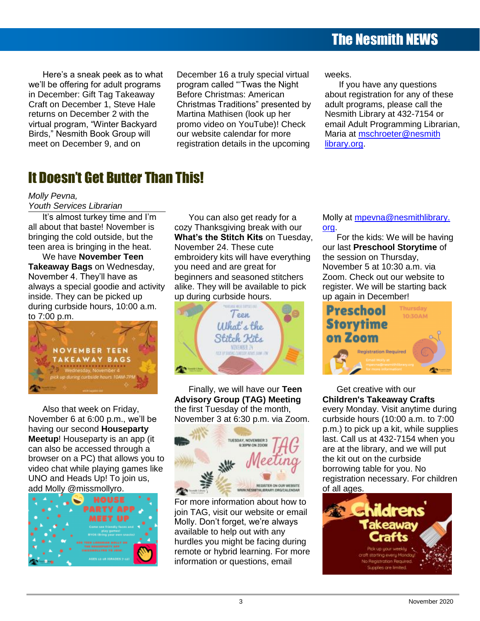### The Nesmith NEWS

Here's a sneak peek as to what we'll be offering for adult programs in December: Gift Tag Takeaway Craft on December 1, Steve Hale returns on December 2 with the virtual program, "Winter Backyard Birds," Nesmith Book Group will meet on December 9, and on

December 16 a truly special virtual program called "'Twas the Night Before Christmas: American Christmas Traditions" presented by Martina Mathisen (look up her promo video on YouTube)! Check our website calendar for more registration details in the upcoming

weeks.

If you have any questions about registration for any of these adult programs, please call the Nesmith Library at 432-7154 or email Adult Programming Librarian, Maria at [mschroeter@nesmith](mailto:mschroeter@nesmithlibrary.org) [library.org.](mailto:mschroeter@nesmithlibrary.org)

### It Doesn't Get Butter Than This!

*Molly Pevna,*

*Youth Services Librarian*

It's almost turkey time and I'm all about that baste! November is bringing the cold outside, but the teen area is bringing in the heat.

We have **November Teen Takeaway Bags** on Wednesday, November 4. They'll have as always a special goodie and activity inside. They can be picked up during curbside hours, 10:00 a.m. to 7:00 p.m.



Also that week on Friday, November 6 at 6:00 p.m., we'll be having our second **Houseparty Meetup**! Houseparty is an app (it can also be accessed through a browser on a PC) that allows you to video chat while playing games like UNO and Heads Up! To join us, add Molly @missmollyro.



You can also get ready for a cozy Thanksgiving break with our **What's the Stitch Kits** on Tuesday, November 24. These cute embroidery kits will have everything you need and are great for beginners and seasoned stitchers alike. They will be available to pick up during curbside hours.



Finally, we will have our **Teen Advisory Group (TAG) Meeting** the first Tuesday of the month, November 3 at 6:30 p.m. via Zoom.



For more information about how to join TAG, visit our website or email Molly. Don't forget, we're always available to help out with any hurdles you might be facing during remote or hybrid learning. For more information or questions, email

Molly at [mpevna@nesmithlibrary.](mailto:mpevna@nesmithlibrary.org) [org.](mailto:mpevna@nesmithlibrary.org)

For the kids: We will be having our last **Preschool Storytime** of the session on Thursday, November 5 at 10:30 a.m. via Zoom. Check out our website to register. We will be starting back up again in December!



Get creative with our **Children's Takeaway Crafts** every Monday. Visit anytime during curbside hours (10:00 a.m. to 7:00 p.m.) to pick up a kit, while supplies last. Call us at 432-7154 when you are at the library, and we will put the kit out on the curbside borrowing table for you. No registration necessary. For children

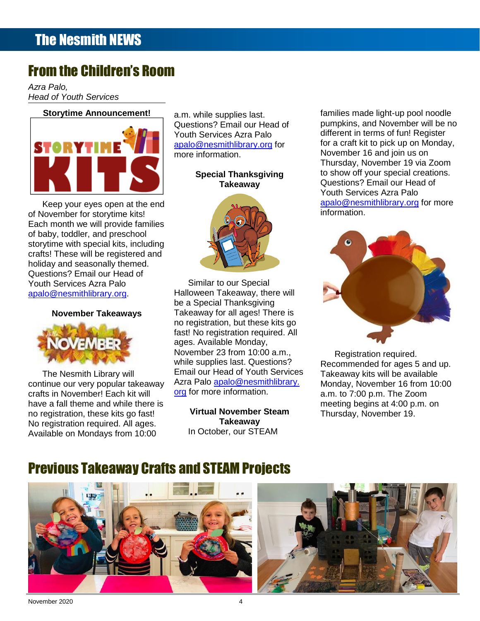### From the Children's Room

<u>Product</u> 21 *Azra Palo, Head of Youth Services*

#### **Storytime Announcement!**



storytime with special kits, including of November for storytime kits! Each month we will provide families of baby, toddler, and preschool Youth Services Azra Palo [apalo@nesmithlibrary.org.](mailto:apalo@nesmithlibrary.org)

#### **November Takeaways**



The Nesmith Library will continue our very popular takeaway crafts in November! Each kit will have a fall theme and while there is no registration, these kits go fast! No registration required. All ages. Available on Mondays from 10:00

a.m. while supplies last. Questions? Email our Head of Youth Services Azra Palo [apalo@nesmithlibrary.org](mailto:apalo@nesmithlibrary.org) for more information.

### **Special Thanksgiving Takeaway**



November 23 from 10:00 a.m., while supplies last. Questions? Email our Head of Youth Services Azra Palo [apalo@nesmithlibrary.](mailto:apalo@nesmithlibrary.org) [org](mailto:apalo@nesmithlibrary.org) for more information.

**Virtual November Steam Takeaway** In October, our STEAM

**Storytime Announcement!** a.m. while supplies last. The families made light-up pool noodle **Example 20** Questions? Email our Head of **Example 1** pumpkins, and November will be no Dreams [................................................................................................................................................](file:///C:/Users/Joyce/Documents/Nesmith/2013/Feb%202013/NN02_13.doc%23_Toc347430550)**Error! Bookmark not defined.** different in terms of fun! Register **EXECUTE: EXECUTE:** apalo@nesmithlibrary.org for for a craft kit to pick up on Monday, **OR ITIME WE more information.** November 16 and join us on The Reference Corner: Political and Political and Political and Political and Political and Political and Political and Political and Political and Political and Political and Political and Political and Political and Poli Upcoming Young Adult Events [............................................................................................................](file:///C:/Users/Joyce/Documents/Nesmith/2013/Feb%202013/NN02_13.doc%23_Toc347430554)**Error! Bookmark not defined.** Thursday, November 19 via Zoom **Take the Digital Challenge.** Special Thanksgiving to show off your special creations. [From the Children's Room: February Vacation Programs](file:///C:/Users/Joyce/Documents/Nesmith/2013/Feb%202013/NN02_13.doc%23_Toc347430556) ...................................................................**Error! Bookmark not defined.** Questions? Email our Head of Toddler Story Time [..............................................................................................................................](file:///C:/Users/Joyce/Documents/Nesmith/2013/Feb%202013/NN02_13.doc%23_Toc347430557)**Error! Bookmark not defined.** Youth Services Azra Palo New Non-Fiction Titles in the Children's Room [...................................................................................](file:///C:/Users/Joyce/Documents/Nesmith/2013/Feb%202013/NN02_13.doc%23_Toc347430558)**Error! Bookmark not defined.** [apalo@nesmithlibrary.org](mailto:apalo@nesmithlibrary.org) for more Keep your eyes open at the end<br>
External on the end the end the end the end the end the end the end the end the end the end of the end of the end of the end of the end of the end of the end of the end of the end of the end information.



Registration required. Recommended for ages 5 and up. Takeaway kits will be available Monday, November 16 from 10:00 a.m. to 7:00 p.m. The Zoom meeting begins at 4:00 p.m. on Thursday, November 19.

### Previous Takeaway Crafts and STEAM Projects



November 2020 4 [Dates to Remember............................................................................................................................................................................](file:///C:/Users/Joyce/Documents/Nesmith/2013/Feb%202013/NN02_13.doc%23_Toc347430559) 5